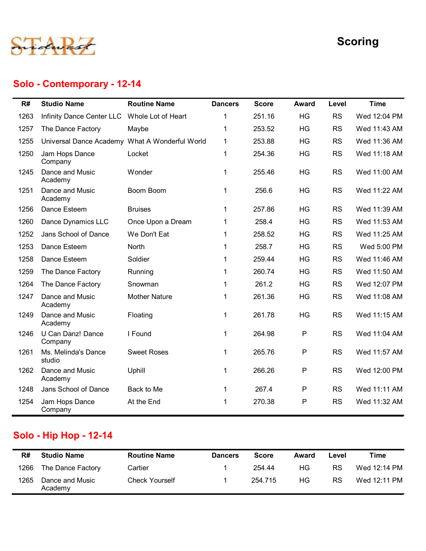

### Solo - Contemporary - 12-14

|      |                                                |                       |                |              |              |           | <b>Scoring</b> |
|------|------------------------------------------------|-----------------------|----------------|--------------|--------------|-----------|----------------|
|      | Solo - Contemporary - 12-14                    |                       |                |              |              |           |                |
| R#   | <b>Studio Name</b>                             | <b>Routine Name</b>   | <b>Dancers</b> | <b>Score</b> | <b>Award</b> | Level     | <b>Time</b>    |
| 1263 | Infinity Dance Center LLC                      | Whole Lot of Heart    | 1              | 251.16       | HG           | <b>RS</b> | Wed 12:04 PM   |
| 1257 | The Dance Factory                              | Maybe                 | 1              | 253.52       | HG           | <b>RS</b> | Wed 11:43 AM   |
| 1255 | Universal Dance Academy What A Wonderful World |                       | 1              | 253.88       | HG           | <b>RS</b> | Wed 11:36 AM   |
| 1250 | Jam Hops Dance<br>Company                      | Locket                | $\mathbf 1$    | 254.36       | HG           | <b>RS</b> | Wed 11:18 AM   |
| 1245 | Dance and Music<br>Academy                     | Wonder                | 1              | 255.46       | HG           | <b>RS</b> | Wed 11:00 AM   |
| 1251 | Dance and Music<br>Academy                     | Boom Boom             | $\mathbf 1$    | 256.6        | HG           | <b>RS</b> | Wed 11:22 AM   |
| 1256 | Dance Esteem                                   | <b>Bruises</b>        | $\mathbf 1$    | 257.86       | HG           | <b>RS</b> | Wed 11:39 AM   |
| 1260 | Dance Dynamics LLC                             | Once Upon a Dream     | 1              | 258.4        | HG           | <b>RS</b> | Wed 11:53 AM   |
| 1252 | Jans School of Dance                           | We Don't Eat          | 1              | 258.52       | HG           | <b>RS</b> | Wed 11:25 AM   |
| 1253 | Dance Esteem                                   | North                 | 1              | 258.7        | HG           | <b>RS</b> | Wed 5:00 PM    |
| 1258 | Dance Esteem                                   | Soldier               | $\mathbf 1$    | 259.44       | HG           | <b>RS</b> | Wed 11:46 AM   |
| 1259 | The Dance Factory                              | Running               | 1.             | 260.74       | HG           | <b>RS</b> | Wed 11:50 AM   |
| 1264 | The Dance Factory                              | Snowman               | $\mathbf{1}$   | 261.2        | HG           | <b>RS</b> | Wed 12:07 PM   |
| 1247 | Dance and Music<br>Academy                     | <b>Mother Nature</b>  | $\mathbf{1}$   | 261.36       | HG           | <b>RS</b> | Wed 11:08 AM   |
| 1249 | Dance and Music<br>Academy                     | Floating              | $\mathbf{1}$   | 261.78       | HG           | <b>RS</b> | Wed 11:15 AM   |
| 1246 | U Can Danz! Dance<br>Company                   | I Found               | $\mathbf{1}$   | 264.98       | P            | <b>RS</b> | Wed 11:04 AM   |
| 1261 | Ms. Melinda's Dance<br>studio                  | <b>Sweet Roses</b>    | $\mathbf{1}$   | 265.76       | P            | <b>RS</b> | Wed 11:57 AM   |
| 1262 | Dance and Music<br>Academy                     | Uphill                | $\mathbf{1}$   | 266.26       | P            | <b>RS</b> | Wed 12:00 PM   |
| 1248 | Jans School of Dance                           | Back to Me            | $\mathbf 1$    | 267.4        | P            | <b>RS</b> | Wed 11:11 AM   |
| 1254 | Jam Hops Dance<br>Company                      | At the End            | 1              | 270.38       | P            | <b>RS</b> | Wed 11:32 AM   |
|      | <b>Solo - Hip Hop - 12-14</b>                  |                       |                |              |              |           |                |
| R#   | <b>Studio Name</b>                             | <b>Routine Name</b>   | <b>Dancers</b> | <b>Score</b> | <b>Award</b> | Level     | <b>Time</b>    |
| 1266 | The Dance Factory                              | Cartier               | 1              | 254.44       | HG           | <b>RS</b> | Wed 12:14 PM   |
| 1265 | Dance and Music<br>Academy                     | <b>Check Yourself</b> | $\mathbf{1}$   | 254.715      | HG           | <b>RS</b> | Wed 12:11 PM   |

## Solo - Hip Hop - 12-14

| R#   | <b>Studio Name</b>         | <b>Routine Name</b>   | <b>Dancers</b> | <b>Score</b> | Award | Level     | Time         |
|------|----------------------------|-----------------------|----------------|--------------|-------|-----------|--------------|
| 1266 | The Dance Factory          | Cartier               |                | 254.44       | ΗG    | <b>RS</b> | Wed 12:14 PM |
| 1265 | Dance and Music<br>Academy | <b>Check Yourself</b> |                | 254.715      | ΗG    | <b>RS</b> | Wed 12:11 PM |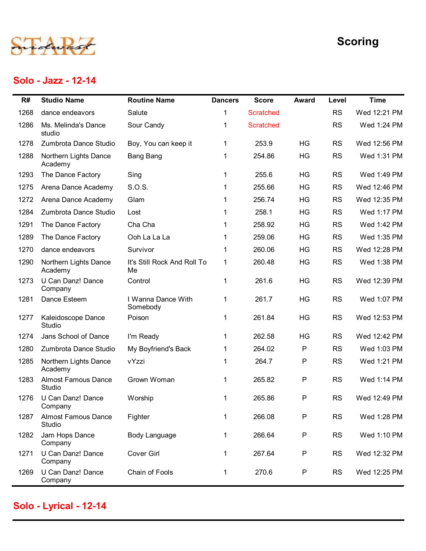

#### Solo - Jazz - 12-14

|      | Solo - Jazz - 12-14                  |                                   |                |                  |              |           | <b>Scoring</b> |
|------|--------------------------------------|-----------------------------------|----------------|------------------|--------------|-----------|----------------|
| R#   | <b>Studio Name</b>                   | <b>Routine Name</b>               | <b>Dancers</b> | <b>Score</b>     | <b>Award</b> | Level     | <b>Time</b>    |
| 1268 | dance endeavors                      | Salute                            | 1              | <b>Scratched</b> |              | <b>RS</b> | Wed 12:21 PM   |
| 1286 | Ms. Melinda's Dance<br>studio        | Sour Candy                        | 1              | <b>Scratched</b> |              | <b>RS</b> | Wed 1:24 PM    |
| 1278 | Zumbrota Dance Studio                | Boy, You can keep it              | 1              | 253.9            | HG           | <b>RS</b> | Wed 12:56 PM   |
| 1288 | Northern Lights Dance<br>Academy     | <b>Bang Bang</b>                  | 1              | 254.86           | HG           | <b>RS</b> | Wed 1:31 PM    |
| 1293 | The Dance Factory                    | Sing                              | 1              | 255.6            | HG           | <b>RS</b> | Wed 1:49 PM    |
| 1275 | Arena Dance Academy                  | S.O.S.                            |                | 255.66           | HG           | <b>RS</b> | Wed 12:46 PM   |
| 1272 | Arena Dance Academy                  | Glam                              |                | 256.74           | HG           | <b>RS</b> | Wed 12:35 PM   |
| 1284 | Zumbrota Dance Studio                | Lost                              |                | 258.1            | HG           | <b>RS</b> | Wed 1:17 PM    |
| 1291 | The Dance Factory                    | Cha Cha                           |                | 258.92           | HG           | <b>RS</b> | Wed 1:42 PM    |
| 1289 | The Dance Factory                    | Ooh La La La                      |                | 259.06           | HG           | <b>RS</b> | Wed 1:35 PM    |
| 1270 | dance endeavors                      | Survivor                          |                | 260.06           | HG           | <b>RS</b> | Wed 12:28 PM   |
| 1290 | Northern Lights Dance<br>Academy     | It's Still Rock And Roll To<br>Me |                | 260.48           | HG           | <b>RS</b> | Wed 1:38 PM    |
| 1273 | U Can Danz! Dance<br>Company         | Control                           | 1              | 261.6            | HG           | <b>RS</b> | Wed 12:39 PM   |
| 1281 | Dance Esteem                         | I Wanna Dance With<br>Somebody    | $\mathbf{1}$   | 261.7            | HG           | <b>RS</b> | Wed 1:07 PM    |
| 1277 | Kaleidoscope Dance<br>Studio         | Poison                            | $\mathbf 1$    | 261.84           | HG           | <b>RS</b> | Wed 12:53 PM   |
| 1274 | Jans School of Dance                 | I'm Ready                         | -1             | 262.58           | HG           | <b>RS</b> | Wed 12:42 PM   |
| 1280 | Zumbrota Dance Studio                | My Boyfriend's Back               |                | 264.02           | P            | <b>RS</b> | Wed 1:03 PM    |
| 1285 | Northern Lights Dance<br>Academy     | vYzzi                             | -1             | 264.7            | P            | <b>RS</b> | Wed 1:21 PM    |
| 1283 | <b>Almost Famous Dance</b><br>Studio | Grown Woman                       |                | 265.82           | P            | <b>RS</b> | Wed 1:14 PM    |
| 1276 | U Can Danz! Dance<br>Company         | Worship                           | $\mathbf{1}$   | 265.86           | P            | <b>RS</b> | Wed 12:49 PM   |
| 1287 | <b>Almost Famous Dance</b><br>Studio | Fighter                           | 1              | 266.08           | P            | <b>RS</b> | Wed 1:28 PM    |
| 1282 | Jam Hops Dance<br>Company            | Body Language                     | -1             | 266.64           | P            | <b>RS</b> | Wed 1:10 PM    |
| 1271 | U Can Danz! Dance<br>Company         | <b>Cover Girl</b>                 | $\mathbf 1$    | 267.64           | P            | <b>RS</b> | Wed 12:32 PM   |
| 1269 | U Can Danz! Dance<br>Company         | Chain of Fools                    | -1             | 270.6            | P            | <b>RS</b> | Wed 12:25 PM   |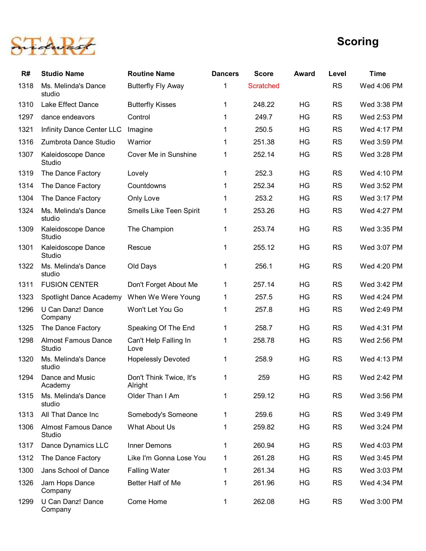

|      |                                      |                                    |                |              |              |           | <b>Scoring</b> |
|------|--------------------------------------|------------------------------------|----------------|--------------|--------------|-----------|----------------|
| R#   | <b>Studio Name</b>                   | <b>Routine Name</b>                | <b>Dancers</b> | <b>Score</b> | <b>Award</b> | Level     | <b>Time</b>    |
| 1318 | Ms. Melinda's Dance<br>studio        | <b>Butterfly Fly Away</b>          |                | Scratched    |              | <b>RS</b> | Wed 4:06 PM    |
| 1310 | Lake Effect Dance                    | <b>Butterfly Kisses</b>            | 1              | 248.22       | <b>HG</b>    | <b>RS</b> | Wed 3:38 PM    |
| 1297 | dance endeavors                      | Control                            | 1              | 249.7        | <b>HG</b>    | <b>RS</b> | Wed 2:53 PM    |
| 1321 | Infinity Dance Center LLC            | Imagine                            | 1              | 250.5        | HG           | <b>RS</b> | Wed 4:17 PM    |
| 1316 | Zumbrota Dance Studio                | Warrior                            | 1              | 251.38       | HG           | <b>RS</b> | Wed 3:59 PM    |
| 1307 | Kaleidoscope Dance<br>Studio         | Cover Me in Sunshine               | 1              | 252.14       | <b>HG</b>    | <b>RS</b> | Wed 3:28 PM    |
| 1319 | The Dance Factory                    | Lovely                             |                | 252.3        | HG           | <b>RS</b> | Wed 4:10 PM    |
| 1314 | The Dance Factory                    | Countdowns                         |                | 252.34       | HG           | <b>RS</b> | Wed 3:52 PM    |
| 1304 | The Dance Factory                    | Only Love                          |                | 253.2        | HG           | <b>RS</b> | Wed 3:17 PM    |
| 1324 | Ms. Melinda's Dance<br>studio        | Smells Like Teen Spirit            | 1              | 253.26       | HG           | <b>RS</b> | Wed 4:27 PM    |
| 1309 | Kaleidoscope Dance<br>Studio         | The Champion                       | $\mathbf 1$    | 253.74       | HG           | <b>RS</b> | Wed 3:35 PM    |
| 1301 | Kaleidoscope Dance<br>Studio         | Rescue                             | 1              | 255.12       | HG           | <b>RS</b> | Wed 3:07 PM    |
| 1322 | Ms. Melinda's Dance<br>studio        | Old Days                           | $\mathbf{1}$   | 256.1        | HG           | <b>RS</b> | Wed 4:20 PM    |
| 1311 | <b>FUSION CENTER</b>                 | Don't Forget About Me              | $\mathbf{1}$   | 257.14       | HG           | <b>RS</b> | Wed 3:42 PM    |
| 1323 | Spotlight Dance Academy              | When We Were Young                 | $\mathbf{1}$   | 257.5        | HG           | <b>RS</b> | Wed 4:24 PM    |
| 1296 | U Can Danz! Dance<br>Company         | Won't Let You Go                   | $\mathbf 1$    | 257.8        | HG           | <b>RS</b> | Wed 2:49 PM    |
| 1325 | The Dance Factory                    | Speaking Of The End                | $\mathbf{1}$   | 258.7        | HG           | <b>RS</b> | Wed 4:31 PM    |
| 1298 | <b>Almost Famous Dance</b><br>Studio | Can't Help Falling In<br>Love      | $\mathbf{1}$   | 258.78       | HG           | <b>RS</b> | Wed 2:56 PM    |
| 1320 | Ms. Melinda's Dance<br>studio        | <b>Hopelessly Devoted</b>          | $\mathbf{1}$   | 258.9        | HG           | <b>RS</b> | Wed 4:13 PM    |
| 1294 | Dance and Music<br>Academy           | Don't Think Twice, It's<br>Alright | $\mathbf{1}$   | 259          | HG           | <b>RS</b> | Wed 2:42 PM    |
| 1315 | Ms. Melinda's Dance<br>studio        | Older Than I Am                    | $\mathbf{1}$   | 259.12       | HG           | <b>RS</b> | Wed 3:56 PM    |
| 1313 | All That Dance Inc                   | Somebody's Someone                 | $\mathbf{1}$   | 259.6        | HG           | <b>RS</b> | Wed 3:49 PM    |
| 1306 | <b>Almost Famous Dance</b><br>Studio | What About Us                      | $\mathbf 1$    | 259.82       | HG           | <b>RS</b> | Wed 3:24 PM    |
| 1317 | Dance Dynamics LLC                   | Inner Demons                       | 1              | 260.94       | <b>HG</b>    | <b>RS</b> | Wed 4:03 PM    |
| 1312 | The Dance Factory                    | Like I'm Gonna Lose You            | $\mathbf{1}$   | 261.28       | <b>HG</b>    | <b>RS</b> | Wed 3:45 PM    |
| 1300 | Jans School of Dance                 | <b>Falling Water</b>               | 1              | 261.34       | <b>HG</b>    | <b>RS</b> | Wed 3:03 PM    |
| 1326 | Jam Hops Dance<br>Company            | Better Half of Me                  | 1              | 261.96       | HG           | <b>RS</b> | Wed 4:34 PM    |
| 1299 | U Can Danz! Dance<br>Company         | Come Home                          |                | 262.08       | HG           | <b>RS</b> | Wed 3:00 PM    |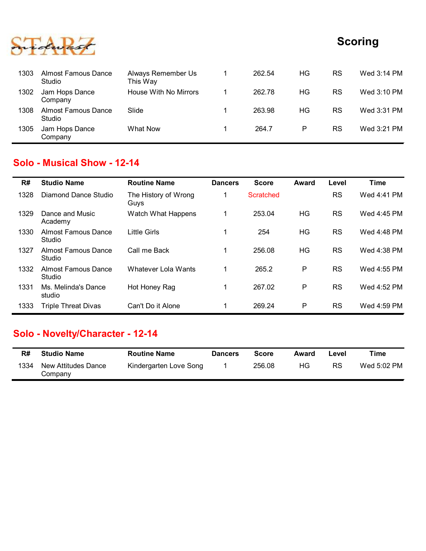

|      |                                          |                                |                |              |              |           | <b>Scoring</b> |
|------|------------------------------------------|--------------------------------|----------------|--------------|--------------|-----------|----------------|
|      |                                          |                                |                |              |              |           |                |
| 1303 | <b>Almost Famous Dance</b><br>Studio     | Always Remember Us<br>This Way | $\mathbf{1}$   | 262.54       | <b>HG</b>    | <b>RS</b> | Wed 3:14 PM    |
| 1302 | Jam Hops Dance<br>Company                | House With No Mirrors          | $\mathbf{1}$   | 262.78       | HG           | <b>RS</b> | Wed 3:10 PM    |
| 1308 | <b>Almost Famous Dance</b><br>Studio     | Slide                          | $\mathbf 1$    | 263.98       | HG           | <b>RS</b> | Wed 3:31 PM    |
| 1305 | Jam Hops Dance<br>Company                | <b>What Now</b>                | $\mathbf 1$    | 264.7        | $\mathsf{P}$ | <b>RS</b> | Wed 3:21 PM    |
|      |                                          |                                |                |              |              |           |                |
|      | <b>Solo - Musical Show - 12-14</b>       |                                |                |              |              |           |                |
| R#   | <b>Studio Name</b>                       | <b>Routine Name</b>            | <b>Dancers</b> | <b>Score</b> | <b>Award</b> | Level     | <b>Time</b>    |
| 1328 | <b>Diamond Dance Studio</b>              | The History of Wrong<br>Guys   | $\overline{1}$ | Scratched    |              | <b>RS</b> | Wed 4:41 PM    |
| 1329 | Dance and Music<br>Academy               | Watch What Happens             | $\mathbf 1$    | 253.04       | HG           | <b>RS</b> | Wed 4:45 PM    |
| 1330 | <b>Almost Famous Dance</b><br>$Q$ fundio | <b>Little Girls</b>            | $\mathbf 1$    | 254          | HG           | <b>RS</b> | Wed 4:48 PM    |

#### Solo - Musical Show - 12-14

|      |                                      |                                |                |                  |              |           | <b>Scoring</b> |
|------|--------------------------------------|--------------------------------|----------------|------------------|--------------|-----------|----------------|
| 1303 | <b>Almost Famous Dance</b><br>Studio | Always Remember Us<br>This Way | $\mathbf 1$    | 262.54           | HG           | <b>RS</b> | Wed 3:14 PM    |
| 1302 | Jam Hops Dance<br>Company            | House With No Mirrors          | $\mathbf{1}$   | 262.78           | HG           | <b>RS</b> | Wed 3:10 PM    |
| 1308 | <b>Almost Famous Dance</b><br>Studio | Slide                          | $\mathbf{1}$   | 263.98           | HG           | <b>RS</b> | Wed 3:31 PM    |
| 1305 | Jam Hops Dance<br>Company            | <b>What Now</b>                | 1              | 264.7            | P            | <b>RS</b> | Wed 3:21 PM    |
|      | <b>Solo - Musical Show - 12-14</b>   |                                |                |                  |              |           |                |
| R#   | <b>Studio Name</b>                   | <b>Routine Name</b>            | <b>Dancers</b> | <b>Score</b>     | Award        | Level     | <b>Time</b>    |
| 1328 | <b>Diamond Dance Studio</b>          | The History of Wrong<br>Guys   | 1              | <b>Scratched</b> |              | <b>RS</b> | Wed 4:41 PM    |
| 1329 | Dance and Music<br>Academy           | Watch What Happens             | $\mathbf{1}$   | 253.04           | HG           | <b>RS</b> | Wed 4:45 PM    |
| 1330 | <b>Almost Famous Dance</b><br>Studio | <b>Little Girls</b>            | $\mathbf{1}$   | 254              | HG           | <b>RS</b> | Wed 4:48 PM    |
| 1327 | <b>Almost Famous Dance</b><br>Studio | Call me Back                   | $\mathbf 1$    | 256.08           | HG           | <b>RS</b> | Wed 4:38 PM    |
| 1332 | <b>Almost Famous Dance</b><br>Studio | Whatever Lola Wants            | $\mathbf{1}$   | 265.2            | ${\sf P}$    | <b>RS</b> | Wed 4:55 PM    |
| 1331 | Ms. Melinda's Dance<br>studio        | Hot Honey Rag                  | $\mathbf{1}$   | 267.02           | P            | <b>RS</b> | Wed 4:52 PM    |
| 1333 | <b>Triple Threat Divas</b>           | Can't Do it Alone              | $\mathbf 1$    | 269.24           | P            | <b>RS</b> | Wed 4:59 PM    |
|      | Solo - Novelty/Character - 12-14     |                                |                |                  |              |           |                |
| R#   | <b>Studio Name</b>                   | <b>Routine Name</b>            | <b>Dancers</b> | <b>Score</b>     | <b>Award</b> | Level     | <b>Time</b>    |
| 1334 | New Attitudes Dance<br>Company       | Kindergarten Love Song         | 1              | 256.08           | HG           | <b>RS</b> | Wed 5:02 PM    |

### Solo - Novelty/Character - 12-14

| R#   | <b>Studio Name</b>             | <b>Routine Name</b>    | <b>Dancers</b> | Score  | Award | _evel | Time        |
|------|--------------------------------|------------------------|----------------|--------|-------|-------|-------------|
| 1334 | New Attitudes Dance<br>Company | Kindergarten Love Song |                | 256.08 | HG.   | RS    | Wed 5:02 PM |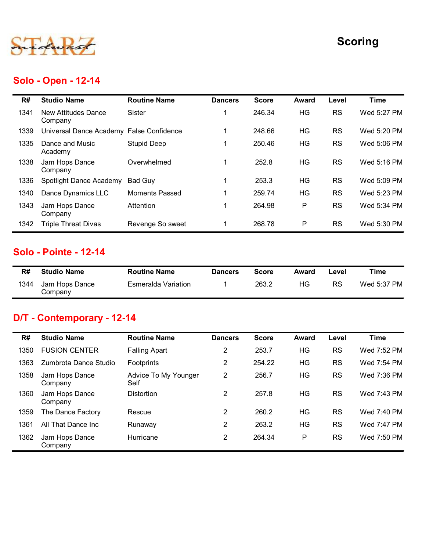

### Solo - Open - 12-14

|      | Solo - Open - 12-14                      |                                        |                |              |              |           | <b>Scoring</b> |
|------|------------------------------------------|----------------------------------------|----------------|--------------|--------------|-----------|----------------|
| R#   | <b>Studio Name</b>                       | <b>Routine Name</b>                    | <b>Dancers</b> | <b>Score</b> | <b>Award</b> | Level     | <b>Time</b>    |
| 1341 | New Attitudes Dance<br>Company           | Sister                                 | $\mathbf 1$    | 246.34       | HG           | <b>RS</b> | Wed 5:27 PM    |
| 1339 | Universal Dance Academy False Confidence |                                        | $\mathbf 1$    | 248.66       | HG           | <b>RS</b> | Wed 5:20 PM    |
| 1335 | Dance and Music<br>Academy               | <b>Stupid Deep</b>                     | $\mathbf 1$    | 250.46       | HG           | <b>RS</b> | Wed 5:06 PM    |
| 1338 | Jam Hops Dance<br>Company                | Overwhelmed                            | $\mathbf 1$    | 252.8        | HG           | <b>RS</b> | Wed 5:16 PM    |
| 1336 | Spotlight Dance Academy                  | <b>Bad Guy</b>                         | $\mathbf{1}$   | 253.3        | HG           | <b>RS</b> | Wed 5:09 PM    |
| 1340 | Dance Dynamics LLC                       | <b>Moments Passed</b>                  | $\mathbf 1$    | 259.74       | HG           | <b>RS</b> | Wed 5:23 PM    |
| 1343 | Jam Hops Dance<br>Company                | Attention                              | $\mathbf{1}$   | 264.98       | P            | <b>RS</b> | Wed 5:34 PM    |
| 1342 | <b>Triple Threat Divas</b>               | Revenge So sweet                       | 1              | 268.78       | P            | <b>RS</b> | Wed 5:30 PM    |
|      | <b>Solo - Pointe - 12-14</b>             |                                        |                |              |              |           |                |
| R#   | <b>Studio Name</b>                       | <b>Routine Name</b>                    | <b>Dancers</b> | <b>Score</b> | <b>Award</b> | Level     | <b>Time</b>    |
| 1344 | Jam Hops Dance<br>Company                | <b>Esmeralda Variation</b>             | 1              | 263.2        | HG           | RS        | Wed 5:37 PM    |
|      | D/T - Contemporary - 12-14               |                                        |                |              |              |           |                |
| R#   | <b>Studio Name</b>                       | <b>Routine Name</b>                    | <b>Dancers</b> | <b>Score</b> | <b>Award</b> | Level     | <b>Time</b>    |
| 1350 | <b>FUSION CENTER</b>                     | <b>Falling Apart</b>                   | $\overline{c}$ | 253.7        | HG           | <b>RS</b> | Wed 7:52 PM    |
| 1363 | Zumbrota Dance Studio                    | Footprints                             | $\overline{c}$ | 254.22       | HG           | <b>RS</b> | Wed 7:54 PM    |
| 1358 | Jam Hops Dance<br>CommonW                | Advice To My Younger<br>C <sub>0</sub> | $\overline{2}$ | 256.7        | HG           | <b>RS</b> | Wed 7:36 PM    |

#### Solo - Pointe - 12-14

| R#   | <b>Studio Name</b>        | <b>Routine Name</b> | <b>Dancers</b> | Score | Award | ∟evel | Time        |
|------|---------------------------|---------------------|----------------|-------|-------|-------|-------------|
| 1344 | Jam Hops Dance<br>Company | Esmeralda Variation |                | 263.2 | ΗG    | RS    | Wed 5:37 PM |

### D/T - Contemporary - 12-14

|              | Company                                            |                                            |                                  |                 |              |                        |                            |
|--------------|----------------------------------------------------|--------------------------------------------|----------------------------------|-----------------|--------------|------------------------|----------------------------|
| 1336         | Spotlight Dance Academy                            | <b>Bad Guy</b>                             | $\mathbf 1$                      | 253.3           | <b>HG</b>    | <b>RS</b>              | Wed 5:09 PM                |
| 1340         | Dance Dynamics LLC                                 | <b>Moments Passed</b>                      | 1                                | 259.74          | HG           | <b>RS</b>              | Wed 5:23 PM                |
| 1343         | Jam Hops Dance<br>Company                          | Attention                                  | $\mathbf 1$                      | 264.98          | P            | <b>RS</b>              | Wed 5:34 PM                |
| 1342         | <b>Triple Threat Divas</b>                         | Revenge So sweet                           | $\mathbf{1}$                     | 268.78          | P            | <b>RS</b>              | Wed 5:30 PM                |
|              | Solo - Pointe - 12-14                              |                                            |                                  |                 |              |                        |                            |
| R#           | <b>Studio Name</b>                                 | <b>Routine Name</b>                        | <b>Dancers</b>                   | <b>Score</b>    | <b>Award</b> | Level                  | <b>Time</b>                |
| 1344         | Jam Hops Dance<br>Company                          | <b>Esmeralda Variation</b>                 | 1                                | 263.2           | HG           | <b>RS</b>              | Wed 5:37 PM                |
|              | D/T - Contemporary - 12-14                         |                                            |                                  |                 |              |                        |                            |
|              |                                                    |                                            |                                  |                 |              |                        |                            |
| R#           | <b>Studio Name</b>                                 | <b>Routine Name</b>                        | <b>Dancers</b>                   | <b>Score</b>    | <b>Award</b> | Level                  | <b>Time</b>                |
| 1350         | <b>FUSION CENTER</b>                               | <b>Falling Apart</b>                       | $\overline{2}$                   | 253.7           | <b>HG</b>    | <b>RS</b>              | Wed 7:52 PM                |
| 1363<br>1358 | Zumbrota Dance Studio<br>Jam Hops Dance<br>Company | Footprints<br>Advice To My Younger<br>Self | $\overline{2}$<br>$\overline{2}$ | 254.22<br>256.7 | HG<br>HG     | <b>RS</b><br><b>RS</b> | Wed 7:54 PM<br>Wed 7:36 PM |
| 1360         | Jam Hops Dance<br>Company                          | <b>Distortion</b>                          | $\overline{2}$                   | 257.8           | HG           | <b>RS</b>              | Wed 7:43 PM                |
| 1359         | The Dance Factory                                  | Rescue                                     | $\overline{2}$                   | 260.2           | <b>HG</b>    | <b>RS</b>              | Wed 7:40 PM                |
| 1361         | All That Dance Inc                                 | Runaway                                    | $\overline{2}$                   | 263.2           | <b>HG</b>    | <b>RS</b>              | Wed 7:47 PM                |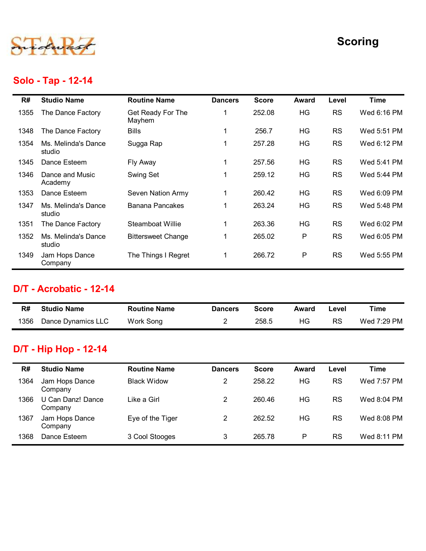

### Solo - Tap - 12-14

|      |                               |                             |                |              |              |           | <b>Scoring</b> |
|------|-------------------------------|-----------------------------|----------------|--------------|--------------|-----------|----------------|
|      | Solo - Tap - 12-14            |                             |                |              |              |           |                |
| R#   | <b>Studio Name</b>            | <b>Routine Name</b>         | <b>Dancers</b> | <b>Score</b> | Award        | Level     | <b>Time</b>    |
| 1355 | The Dance Factory             | Get Ready For The<br>Mayhem | 1              | 252.08       | HG           | <b>RS</b> | Wed 6:16 PM    |
| 1348 | The Dance Factory             | <b>Bills</b>                | $\mathbf{1}$   | 256.7        | <b>HG</b>    | <b>RS</b> | Wed 5:51 PM    |
| 1354 | Ms. Melinda's Dance<br>studio | Sugga Rap                   | $\mathbf{1}$   | 257.28       | HG           | <b>RS</b> | Wed 6:12 PM    |
| 1345 | Dance Esteem                  | Fly Away                    | $\mathbf{1}$   | 257.56       | HG           | <b>RS</b> | Wed 5:41 PM    |
| 1346 | Dance and Music<br>Academy    | Swing Set                   | $\mathbf{1}$   | 259.12       | HG           | <b>RS</b> | Wed 5:44 PM    |
| 1353 | Dance Esteem                  | Seven Nation Army           | $\mathbf{1}$   | 260.42       | <b>HG</b>    | <b>RS</b> | Wed 6:09 PM    |
| 1347 | Ms. Melinda's Dance<br>studio | <b>Banana Pancakes</b>      | $\mathbf{1}$   | 263.24       | <b>HG</b>    | <b>RS</b> | Wed 5:48 PM    |
| 1351 | The Dance Factory             | Steamboat Willie            | -1             | 263.36       | HG           | <b>RS</b> | Wed 6:02 PM    |
| 1352 | Ms. Melinda's Dance<br>studio | <b>Bittersweet Change</b>   | $\mathbf{1}$   | 265.02       | P            | <b>RS</b> | Wed 6:05 PM    |
| 1349 | Jam Hops Dance<br>Company     | The Things I Regret         | $\mathbf{1}$   | 266.72       | P            | <b>RS</b> | Wed 5:55 PM    |
|      | D/T - Acrobatic - 12-14       |                             |                |              |              |           |                |
| R#   | <b>Studio Name</b>            | <b>Routine Name</b>         | <b>Dancers</b> | <b>Score</b> | <b>Award</b> | Level     | <b>Time</b>    |
|      | Dance Dynamics LLC            |                             |                |              |              |           |                |

#### D/T - Acrobatic - 12-14

| R#   | <b>Studio Name</b> | <b>Routine Name</b> | <b>Dancers</b> | Score | Award | ∟evel | Time        |
|------|--------------------|---------------------|----------------|-------|-------|-------|-------------|
| 1356 | Dance Dynamics LLC | Work Song           |                | 258.5 | HG.   | RS    | Wed 7:29 PM |

### D/T - Hip Hop - 12-14

| 1351       | The Dance Factory                                  | Steamboat Willie                          | $\mathbf 1$                      | 263.36                 | HG                 | <b>RS</b>          | Wed 6:02 PM                |
|------------|----------------------------------------------------|-------------------------------------------|----------------------------------|------------------------|--------------------|--------------------|----------------------------|
| 1352       | Ms. Melinda's Dance<br>studio                      | <b>Bittersweet Change</b>                 | 1                                | 265.02                 | P                  | <b>RS</b>          | Wed 6:05 PM                |
| 1349       | Jam Hops Dance<br>Company                          | The Things I Regret                       | $\mathbf{1}$                     | 266.72                 | P                  | <b>RS</b>          | Wed 5:55 PM                |
|            | D/T - Acrobatic - 12-14                            |                                           |                                  |                        |                    |                    |                            |
|            |                                                    |                                           |                                  |                        |                    |                    |                            |
| R#         | <b>Studio Name</b>                                 | <b>Routine Name</b>                       | <b>Dancers</b>                   | <b>Score</b>           | <b>Award</b>       | Level              | <b>Time</b>                |
| 1356       | Dance Dynamics LLC<br><b>D/T - Hip Hop - 12-14</b> | Work Song                                 | $\overline{2}$                   | 258.5                  | HG                 | <b>RS</b>          | Wed 7:29 PM                |
|            |                                                    |                                           |                                  |                        |                    |                    |                            |
| R#<br>1364 | <b>Studio Name</b><br>Jam Hops Dance               | <b>Routine Name</b><br><b>Black Widow</b> | <b>Dancers</b><br>$\overline{2}$ | <b>Score</b><br>258.22 | <b>Award</b><br>HG | Level<br><b>RS</b> | <b>Time</b><br>Wed 7:57 PM |
| 1366       | Company<br>U Can Danz! Dance                       | Like a Girl                               | $\overline{2}$                   | 260.46                 | HG                 | <b>RS</b>          | Wed 8:04 PM                |
| 1367       | Company<br>Jam Hops Dance<br>Company               | Eye of the Tiger                          | $\overline{2}$                   | 262.52                 | HG                 | <b>RS</b>          | Wed 8:08 PM                |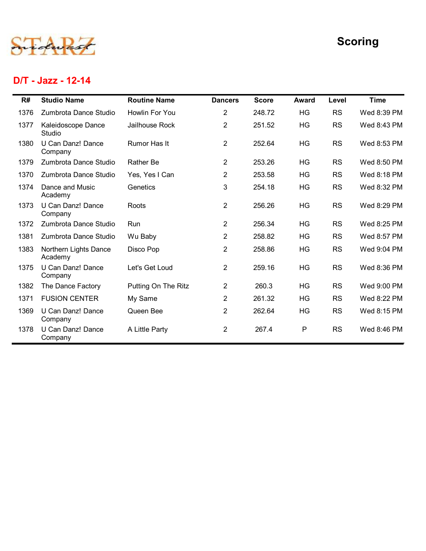

#### D/T - Jazz - 12-14

|              |                                                       |                                  |                                  |                  |              |                        | <b>Scoring</b>             |
|--------------|-------------------------------------------------------|----------------------------------|----------------------------------|------------------|--------------|------------------------|----------------------------|
|              | D/T - Jazz - 12-14                                    |                                  |                                  |                  |              |                        |                            |
| R#           | <b>Studio Name</b>                                    | <b>Routine Name</b>              | <b>Dancers</b>                   | <b>Score</b>     | <b>Award</b> | Level                  | <b>Time</b>                |
| 1376<br>1377 | Zumbrota Dance Studio<br>Kaleidoscope Dance<br>Studio | Howlin For You<br>Jailhouse Rock | $\overline{c}$<br>$\overline{2}$ | 248.72<br>251.52 | HG<br>HG     | <b>RS</b><br><b>RS</b> | Wed 8:39 PM<br>Wed 8:43 PM |
| 1380         | U Can Danz! Dance<br>Company                          | Rumor Has It                     | $\overline{2}$                   | 252.64           | HG           | <b>RS</b>              | Wed 8:53 PM                |
| 1379         | Zumbrota Dance Studio                                 | Rather Be                        | $\overline{2}$                   | 253.26           | HG           | <b>RS</b>              | Wed 8:50 PM                |
| 1370         | Zumbrota Dance Studio                                 | Yes, Yes I Can                   | $\overline{2}$                   | 253.58           | HG           | <b>RS</b>              | Wed 8:18 PM                |
| 1374         | Dance and Music<br>Academy                            | Genetics                         | 3                                | 254.18           | HG           | <b>RS</b>              | Wed 8:32 PM                |
| 1373         | U Can Danz! Dance<br>Company                          | Roots                            | $\overline{2}$                   | 256.26           | HG           | <b>RS</b>              | Wed 8:29 PM                |
| 1372         | Zumbrota Dance Studio                                 | Run                              | $\overline{2}$                   | 256.34           | HG           | <b>RS</b>              | Wed 8:25 PM                |
| 1381         | Zumbrota Dance Studio                                 | Wu Baby                          | $\overline{c}$                   | 258.82           | HG           | <b>RS</b>              | Wed 8:57 PM                |
| 1383         | Northern Lights Dance<br>Academy                      | Disco Pop                        | $\overline{c}$                   | 258.86           | HG           | <b>RS</b>              | Wed 9:04 PM                |
| 1375         | U Can Danz! Dance<br>Company                          | Let's Get Loud                   | $\overline{a}$                   | 259.16           | HG           | <b>RS</b>              | Wed 8:36 PM                |
| 1382         | The Dance Factory                                     | Putting On The Ritz              | $\overline{2}$                   | 260.3            | HG           | <b>RS</b>              | Wed 9:00 PM                |
| 1371         | <b>FUSION CENTER</b>                                  | My Same                          | $\overline{a}$                   | 261.32           | HG           | <b>RS</b>              | Wed 8:22 PM                |
| 1369         | U Can Danz! Dance<br>Company                          | Queen Bee                        | $\overline{a}$                   | 262.64           | HG           | <b>RS</b>              | Wed 8:15 PM                |
| 1378         | U Can Danz! Dance<br>Company                          | A Little Party                   | $\overline{a}$                   | 267.4            | P            | <b>RS</b>              | Wed 8:46 PM                |